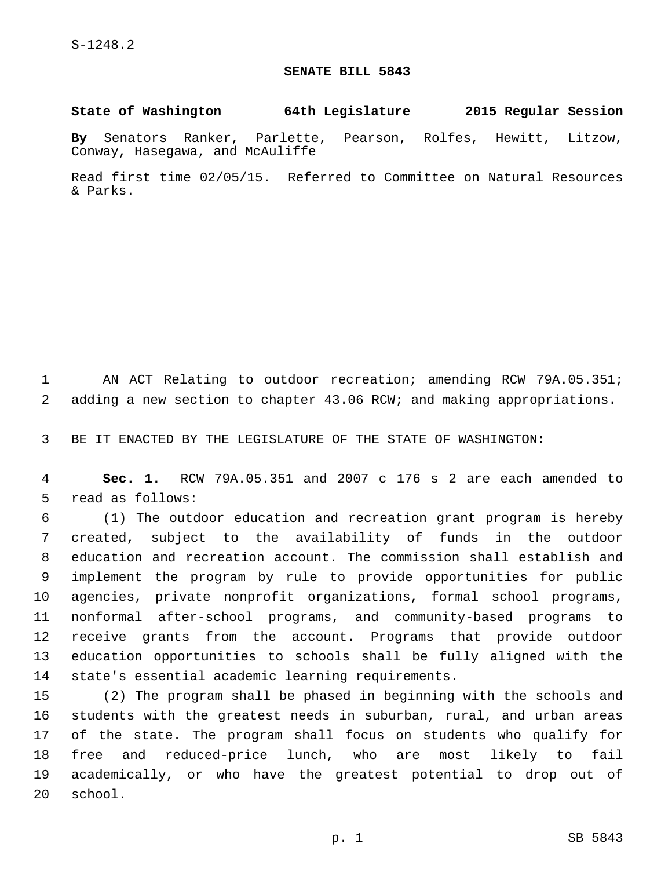## **SENATE BILL 5843**

**State of Washington 64th Legislature 2015 Regular Session**

**By** Senators Ranker, Parlette, Pearson, Rolfes, Hewitt, Litzow, Conway, Hasegawa, and McAuliffe

Read first time 02/05/15. Referred to Committee on Natural Resources & Parks.

1 AN ACT Relating to outdoor recreation; amending RCW 79A.05.351; 2 adding a new section to chapter 43.06 RCW; and making appropriations.

3 BE IT ENACTED BY THE LEGISLATURE OF THE STATE OF WASHINGTON:

4 **Sec. 1.** RCW 79A.05.351 and 2007 c 176 s 2 are each amended to 5 read as follows:

 (1) The outdoor education and recreation grant program is hereby created, subject to the availability of funds in the outdoor education and recreation account. The commission shall establish and implement the program by rule to provide opportunities for public agencies, private nonprofit organizations, formal school programs, nonformal after-school programs, and community-based programs to receive grants from the account. Programs that provide outdoor education opportunities to schools shall be fully aligned with the 14 state's essential academic learning requirements.

 (2) The program shall be phased in beginning with the schools and students with the greatest needs in suburban, rural, and urban areas of the state. The program shall focus on students who qualify for free and reduced-price lunch, who are most likely to fail academically, or who have the greatest potential to drop out of 20 school.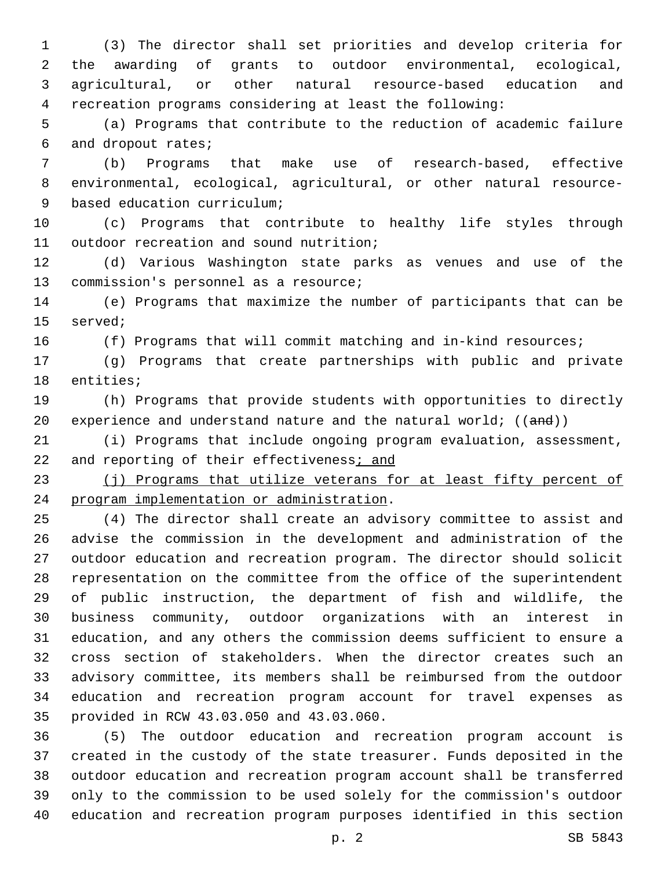(3) The director shall set priorities and develop criteria for the awarding of grants to outdoor environmental, ecological, agricultural, or other natural resource-based education and recreation programs considering at least the following:

 (a) Programs that contribute to the reduction of academic failure 6 and dropout rates;

 (b) Programs that make use of research-based, effective environmental, ecological, agricultural, or other natural resource-9 based education curriculum;

 (c) Programs that contribute to healthy life styles through 11 outdoor recreation and sound nutrition;

 (d) Various Washington state parks as venues and use of the 13 commission's personnel as a resource;

 (e) Programs that maximize the number of participants that can be 15 served;

(f) Programs that will commit matching and in-kind resources;

 (g) Programs that create partnerships with public and private 18 entities;

 (h) Programs that provide students with opportunities to directly 20 experience and understand nature and the natural world;  $((and))$ 

 (i) Programs that include ongoing program evaluation, assessment, 22 and reporting of their effectiveness; and

23 (j) Programs that utilize veterans for at least fifty percent of 24 program implementation or administration.

 (4) The director shall create an advisory committee to assist and advise the commission in the development and administration of the outdoor education and recreation program. The director should solicit representation on the committee from the office of the superintendent of public instruction, the department of fish and wildlife, the business community, outdoor organizations with an interest in education, and any others the commission deems sufficient to ensure a cross section of stakeholders. When the director creates such an advisory committee, its members shall be reimbursed from the outdoor education and recreation program account for travel expenses as 35 provided in RCW 43.03.050 and 43.03.060.

 (5) The outdoor education and recreation program account is created in the custody of the state treasurer. Funds deposited in the outdoor education and recreation program account shall be transferred only to the commission to be used solely for the commission's outdoor education and recreation program purposes identified in this section